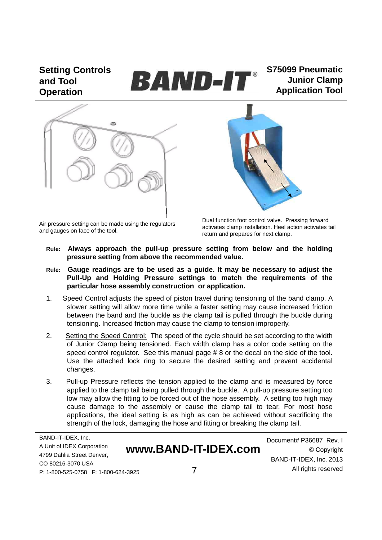## **Setting Controls and Tool Operation**

BAND-I

**S75099 Pneumatic Junior Clamp Application Tool**



Air pressure setting can be made using the regulators and gauges on face of the tool.



Dual function foot control valve. Pressing forward activates clamp installation. Heel action activates tail return and prepares for next clamp.

- **Rule: Always approach the pull-up pressure setting from below and the holding pressure setting from above the recommended value.**
- **Rule: Gauge readings are to be used as a guide. It may be necessary to adjust the Pull-Up and Holding Pressure settings to match the requirements of the particular hose assembly construction or application.**
- 1. Speed Control adjusts the speed of piston travel during tensioning of the band clamp. A slower setting will allow more time while a faster setting may cause increased friction between the band and the buckle as the clamp tail is pulled through the buckle during tensioning. Increased friction may cause the clamp to tension improperly.
- 2. Setting the Speed Control: The speed of the cycle should be set according to the width of Junior Clamp being tensioned. Each width clamp has a color code setting on the speed control regulator. See this manual page # 8 or the decal on the side of the tool. Use the attached lock ring to secure the desired setting and prevent accidental changes.
- 3. Pull-up Pressure reflects the tension applied to the clamp and is measured by force applied to the clamp tail being pulled through the buckle. A pull-up pressure setting too low may allow the fitting to be forced out of the hose assembly. A setting too high may cause damage to the assembly or cause the clamp tail to tear. For most hose applications, the ideal setting is as high as can be achieved without sacrificing the strength of the lock, damaging the hose and fitting or breaking the clamp tail.

| BAND-IT-IDEX. Inc.                  |                      | Document# P36687 Rev. I |
|-------------------------------------|----------------------|-------------------------|
| A Unit of IDEX Corporation          | www.BAND-IT-IDEX.com | $©$ Copyright           |
| 4799 Dahlia Street Denver,          |                      | BAND-IT-IDEX. Inc. 2013 |
| CO 80216-3070 USA                   |                      |                         |
| P: 1-800-525-0758 F: 1-800-624-3925 |                      | All rights reserved     |